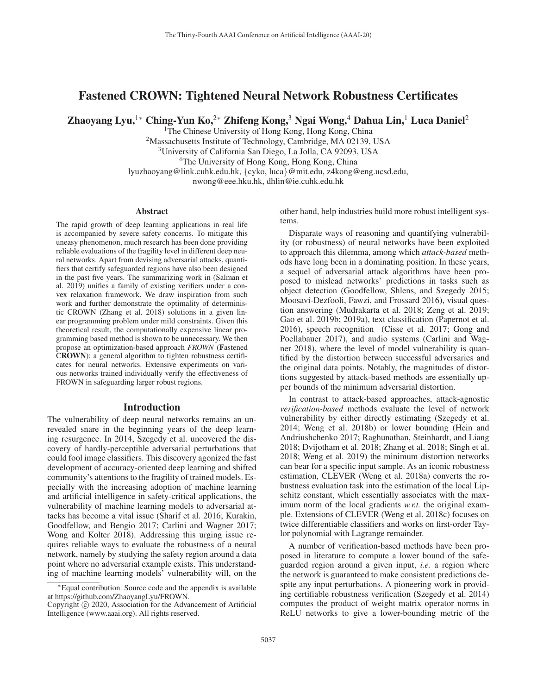# Fastened CROWN: Tightened Neural Network Robustness Certificates

Zhaoyang Lyu,<sup>1∗</sup> Ching-Yun Ko,<sup>2∗</sup> Zhifeng Kong,<sup>3</sup> Ngai Wong,<sup>4</sup> Dahua Lin,<sup>1</sup> Luca Daniel<sup>2</sup>

<sup>1</sup>The Chinese University of Hong Kong, Hong Kong, China

<sup>2</sup>Massachusetts Institute of Technology, Cambridge, MA 02139, USA 3University of California San Diego, La Jolla, CA 92093, USA <sup>4</sup>The University of Hong Kong, Hong Kong, China lyuzhaoyang@link.cuhk.edu.hk, {cyko, luca}@mit.edu, z4kong@eng.ucsd.edu, nwong@eee.hku.hk, dhlin@ie.cuhk.edu.hk

#### **Abstract**

The rapid growth of deep learning applications in real life is accompanied by severe safety concerns. To mitigate this uneasy phenomenon, much research has been done providing reliable evaluations of the fragility level in different deep neural networks. Apart from devising adversarial attacks, quantifiers that certify safeguarded regions have also been designed in the past five years. The summarizing work in (Salman et al. 2019) unifies a family of existing verifiers under a convex relaxation framework. We draw inspiration from such work and further demonstrate the optimality of deterministic CROWN (Zhang et al. 2018) solutions in a given linear programming problem under mild constraints. Given this theoretical result, the computationally expensive linear programming based method is shown to be unnecessary. We then propose an optimization-based approach *FROWN* (Fastened CROWN): a general algorithm to tighten robustness certificates for neural networks. Extensive experiments on various networks trained individually verify the effectiveness of FROWN in safeguarding larger robust regions.

#### **Introduction**

The vulnerability of deep neural networks remains an unrevealed snare in the beginning years of the deep learning resurgence. In 2014, Szegedy et al. uncovered the discovery of hardly-perceptible adversarial perturbations that could fool image classifiers. This discovery agonized the fast development of accuracy-oriented deep learning and shifted community's attentions to the fragility of trained models. Especially with the increasing adoption of machine learning and artificial intelligence in safety-critical applications, the vulnerability of machine learning models to adversarial attacks has become a vital issue (Sharif et al. 2016; Kurakin, Goodfellow, and Bengio 2017; Carlini and Wagner 2017; Wong and Kolter 2018). Addressing this urging issue requires reliable ways to evaluate the robustness of a neural network, namely by studying the safety region around a data point where no adversarial example exists. This understanding of machine learning models' vulnerability will, on the other hand, help industries build more robust intelligent systems.

Disparate ways of reasoning and quantifying vulnerability (or robustness) of neural networks have been exploited to approach this dilemma, among which *attack-based* methods have long been in a dominating position. In these years, a sequel of adversarial attack algorithms have been proposed to mislead networks' predictions in tasks such as object detection (Goodfellow, Shlens, and Szegedy 2015; Moosavi-Dezfooli, Fawzi, and Frossard 2016), visual question answering (Mudrakarta et al. 2018; Zeng et al. 2019; Gao et al. 2019b; 2019a), text classification (Papernot et al. 2016), speech recognition (Cisse et al. 2017; Gong and Poellabauer 2017), and audio systems (Carlini and Wagner 2018), where the level of model vulnerability is quantified by the distortion between successful adversaries and the original data points. Notably, the magnitudes of distortions suggested by attack-based methods are essentially upper bounds of the minimum adversarial distortion.

In contrast to attack-based approaches, attack-agnostic *verification-based* methods evaluate the level of network vulnerability by either directly estimating (Szegedy et al. 2014; Weng et al. 2018b) or lower bounding (Hein and Andriushchenko 2017; Raghunathan, Steinhardt, and Liang 2018; Dvijotham et al. 2018; Zhang et al. 2018; Singh et al. 2018; Weng et al. 2019) the minimum distortion networks can bear for a specific input sample. As an iconic robustness estimation, CLEVER (Weng et al. 2018a) converts the robustness evaluation task into the estimation of the local Lipschitz constant, which essentially associates with the maximum norm of the local gradients *w.r.t.* the original example. Extensions of CLEVER (Weng et al. 2018c) focuses on twice differentiable classifiers and works on first-order Taylor polynomial with Lagrange remainder.

A number of verification-based methods have been proposed in literature to compute a lower bound of the safeguarded region around a given input, *i.e.* a region where the network is guaranteed to make consistent predictions despite any input perturbations. A pioneering work in providing certifiable robustness verification (Szegedy et al. 2014) computes the product of weight matrix operator norms in ReLU networks to give a lower-bounding metric of the

<sup>∗</sup>Equal contribution. Source code and the appendix is available at https://github.com/ZhaoyangLyu/FROWN.

Copyright  $\odot$  2020, Association for the Advancement of Artificial Intelligence (www.aaai.org). All rights reserved.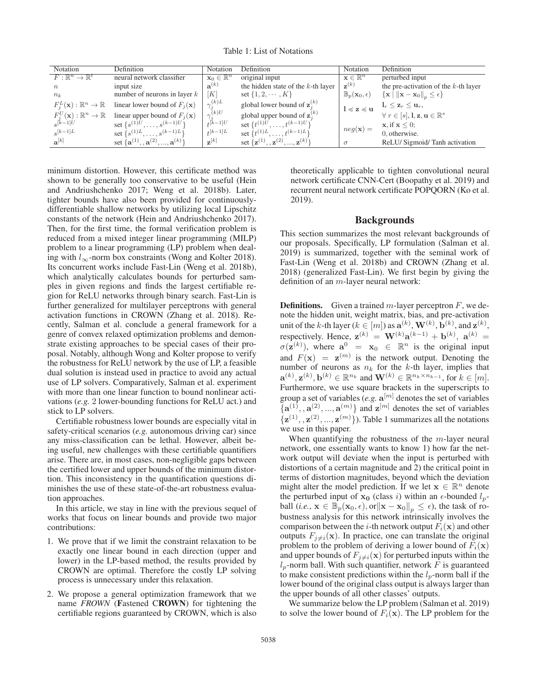Table 1: List of Notations

| Notation                                         | Definition                                                                                | Notation                        | Definition                             | Notation                              | Definition                                                                                |
|--------------------------------------------------|-------------------------------------------------------------------------------------------|---------------------------------|----------------------------------------|---------------------------------------|-------------------------------------------------------------------------------------------|
| $F: \mathbb{R}^n \to \mathbb{R}^t$               | neural network classifier                                                                 | $\mathbf{x}_0 \in \mathbb{R}^n$ | original input                         | $\mathbf{x} \in \mathbb{R}^n$         | perturbed input                                                                           |
| $\boldsymbol{n}$                                 | input size                                                                                | $\mathbf{a}^{(k)}$              | the hidden state of the $k$ -th layer  | $\mathbf{z}^{(k)}$                    | the pre-activation of the $k$ -th layer                                                   |
| $n_k$                                            | number of neurons in layer $k$                                                            | [K]                             | set $\{1, 2, \cdots, K\}$              | $\mathbb{B}_p(\mathbf{x}_0,\epsilon)$ | $\left\{\mathbf{x} \mid \left\ \mathbf{x} - \mathbf{x}_0\right\ _p \leq \epsilon\right\}$ |
|                                                  | $F_i^L(\mathbf{x}) : \mathbb{R}^n \to \mathbb{R}$ linear lower bound of $F_j(\mathbf{x})$ | $\gamma_i^{(k)L}$               | global lower bound of $z_i^{(k)}$      | $l \preccurlyeq z \preccurlyeq u$     | $1_r \leq \mathbf{z}_r \leq \mathbf{u}_r$                                                 |
| $F_i^U(\mathbf{x}): \mathbb{R}^n \to \mathbb{R}$ | linear upper bound of $F_i(\mathbf{x})$                                                   | $\gamma_i^{(k)U}$               | global upper bound of $z_i^{(k)}$      |                                       | $\forall r \in [s], \mathbf{l}, \mathbf{z}, \mathbf{u} \in \mathbb{R}^s$                  |
| $s^{[k-1]}U$                                     | set $\{s^{(1)U}, \ldots, s^{(k-1)U}\}\$                                                   | $t^{[k-1]U}$                    | set $\{t^{(1)U}, \ldots, t^{(k-1)U}\}$ | $neg(\mathbf{x}) =$                   | $\mathbf{x}$ , if $\mathbf{x} \leq 0$ ;                                                   |
| $s^{[k-1]L}$                                     | set $\{s^{(1)L}, \ldots, s^{(k-1)L}\}\$                                                   | $t^{[k-1]L}$                    | set $\{t^{(1)L}, \ldots, t^{(k-1)L}\}$ |                                       | 0, otherwise.                                                                             |
| $a^{[k]}$                                        | set $\{a^{(1)}, a^{(2)}, , a^{(k)}\}$                                                     | $\mathbf{z}^{[k]}$              | set $\{z^{(1)}, z^{(2)}, , z^{(k)}\}$  | $\sigma$                              | ReLU/Sigmoid/Tanh activation                                                              |

minimum distortion. However, this certificate method was shown to be generally too conservative to be useful (Hein and Andriushchenko 2017; Weng et al. 2018b). Later, tighter bounds have also been provided for continuouslydifferentiable shallow networks by utilizing local Lipschitz constants of the network (Hein and Andriushchenko 2017). Then, for the first time, the formal verification problem is reduced from a mixed integer linear programming (MILP) problem to a linear programming (LP) problem when dealing with  $l_{\infty}$ -norm box constraints (Wong and Kolter 2018). Its concurrent works include Fast-Lin (Weng et al. 2018b), which analytically calculates bounds for perturbed samples in given regions and finds the largest certifiable region for ReLU networks through binary search. Fast-Lin is further generalized for multilayer perceptrons with general activation functions in CROWN (Zhang et al. 2018). Recently, Salman et al. conclude a general framework for a genre of convex relaxed optimization problems and demonstrate existing approaches to be special cases of their proposal. Notably, although Wong and Kolter propose to verify the robustness for ReLU network by the use of LP, a feasible dual solution is instead used in practice to avoid any actual use of LP solvers. Comparatively, Salman et al. experiment with more than one linear function to bound nonlinear activations (*e.g.* 2 lower-bounding functions for ReLU act.) and stick to LP solvers.

Certifiable robustness lower bounds are especially vital in safety-critical scenarios (*e.g.* autonomous driving car) since any miss-classification can be lethal. However, albeit being useful, new challenges with these certifiable quantifiers arise. There are, in most cases, non-negligible gaps between the certified lower and upper bounds of the minimum distortion. This inconsistency in the quantification questions diminishes the use of these state-of-the-art robustness evaluation approaches.

In this article, we stay in line with the previous sequel of works that focus on linear bounds and provide two major contributions:

- 1. We prove that if we limit the constraint relaxation to be exactly one linear bound in each direction (upper and lower) in the LP-based method, the results provided by CROWN are optimal. Therefore the costly LP solving process is unnecessary under this relaxation.
- 2. We propose a general optimization framework that we name *FROWN* (Fastened CROWN) for tightening the certifiable regions guaranteed by CROWN, which is also

theoretically applicable to tighten convolutional neural network certificate CNN-Cert (Boopathy et al. 2019) and recurrent neural network certificate POPQORN (Ko et al. 2019).

### Backgrounds

This section summarizes the most relevant backgrounds of our proposals. Specifically, LP formulation (Salman et al. 2019) is summarized, together with the seminal work of Fast-Lin (Weng et al. 2018b) and CROWN (Zhang et al. 2018) (generalized Fast-Lin). We first begin by giving the definition of an m-layer neural network:

**Definitions.** Given a trained  $m$ -layer perceptron  $F$ , we denote the hidden unit, weight matrix, bias, and pre-activation unit of the k-th layer ( $k \in [m]$ ) as  $\mathbf{a}^{(k)}$ ,  $\mathbf{W}^{(k)}$ ,  $\mathbf{b}^{(k)}$ , and  $\mathbf{z}^{(k)}$ , respectively. Hence,  $\mathbf{z}^{(k)} = \mathbf{W}^{(k)} \mathbf{a}^{(k-1)} + \mathbf{b}^{(k)}$ ,  $\mathbf{a}^{(k)} =$  $\sigma(\mathbf{z}^{(k)})$ , where  $\mathbf{a}^0 = \mathbf{x}_0 \in \mathbb{R}^n$  is the original input and  $F(\mathbf{x}) = \mathbf{z}^{(m)}$  is the network output. Denoting the number of neurons as  $n_k$  for the k-th layer, implies that  $\mathbf{a}^{(k)}, \mathbf{z}^{(k)}, \mathbf{b}^{(k)} \in \mathbb{R}^{n_k}$  and  $\mathbf{W}^{(k)} \in \mathbb{R}^{n_k \times n_{k-1}}$ , for  $k \in [m]$ . Furthermore, we use square brackets in the superscripts to group a set of variables (*e.g.*  $\mathbf{a}^{[m]}$  denotes the set of variables  $\{a^{(1)}, a^{(2)}, ..., a^{(m)}\}$  and  $z^{[m]}$  denotes the set of variables  $\{z^{(1)}, z^{(2)}, ..., z^{(m)}\}$ ). Table 1 summarizes all the notations we use in this paper.

When quantifying the robustness of the  $m$ -layer neural network, one essentially wants to know 1) how far the network output will deviate when the input is perturbed with distortions of a certain magnitude and 2) the critical point in terms of distortion magnitudes, beyond which the deviation might alter the model prediction. If we let  $\mathbf{x} \in \mathbb{R}^n$  denote the perturbed input of  $x_0$  (class i) within an  $\epsilon$ -bounded  $l_p$ ball (*i.e.*,  $\mathbf{x} \in \mathbb{B}_p(\mathbf{x}_0, \epsilon)$ , or  $\|\mathbf{x} - \mathbf{x}_0\|_p \leq \epsilon$ ), the task of robustness analysis for this network intrinsically involves the comparison between the *i*-th network output  $F_i(\mathbf{x})$  and other outputs  $F_{j\neq i}(\mathbf{x})$ . In practice, one can translate the original problem to the problem of deriving a lower bound of  $F_i(\mathbf{x})$ and upper bounds of  $F_{j\neq i}(\mathbf{x})$  for perturbed inputs within the  $l_p$ -norm ball. With such quantifier, network F is guaranteed to make consistent predictions within the  $l_p$ -norm ball if the lower bound of the original class output is always larger than the upper bounds of all other classes' outputs.

We summarize below the LP problem (Salman et al. 2019) to solve the lower bound of  $F_i(\mathbf{x})$ . The LP problem for the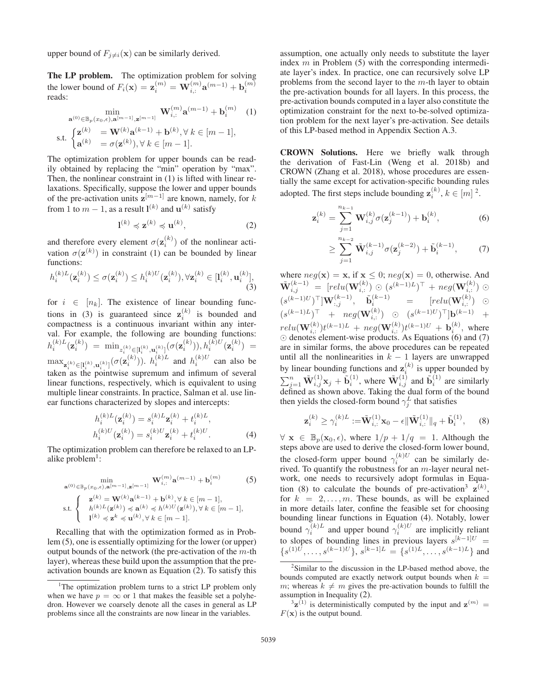upper bound of  $F_{i\neq i}(\mathbf{x})$  can be similarly derived.

The LP problem. The optimization problem for solving the lower bound of  $F_i(\mathbf{x}) = \mathbf{z}_i^{(m)} = \mathbf{W}_{i,:}^{(m)} \mathbf{a}^{(m-1)} + \mathbf{b}_i^{(m)}$ reads:

$$
\min_{\mathbf{a}^{(0)} \in \mathbb{B}_p(x_0, \epsilon), \mathbf{a}^{[m-1]}, \mathbf{z}^{[m-1]}} \mathbf{W}_{i,:}^{(m)} \mathbf{a}^{(m-1)} + \mathbf{b}_i^{(m)} \quad (1)
$$
\n
$$
\text{s.t. } \begin{cases} \mathbf{z}^{(k)} = \mathbf{W}^{(k)} \mathbf{a}^{(k-1)} + \mathbf{b}^{(k)}, \forall \ k \in [m-1], \\ \mathbf{a}^{(k)} = \sigma(\mathbf{z}^{(k)}), \forall \ k \in [m-1]. \end{cases}
$$

The optimization problem for upper bounds can be readily obtained by replacing the "min" operation by "max". Then, the nonlinear constraint in (1) is lifted with linear relaxations. Specifically, suppose the lower and upper bounds of the pre-activation units  $z^{[m-1]}$  are known, namely, for k from 1 to  $m - 1$ , as a result  $\mathbf{l}^{(k)}$  and  $\mathbf{u}^{(k)}$  satisfy

$$
\mathbf{l}^{(k)} \preccurlyeq \mathbf{z}^{(k)} \preccurlyeq \mathbf{u}^{(k)},\tag{2}
$$

and therefore every element  $\sigma(\mathbf{z}_i^{(k)})$  of the nonlinear activation  $\sigma(\mathbf{z}^{(k)})$  in constraint (1) can be bounded by linear functions:

$$
h_i^{(k)L}(\mathbf{z}_i^{(k)}) \le \sigma(\mathbf{z}_i^{(k)}) \le h_i^{(k)U}(\mathbf{z}_i^{(k)}), \forall \mathbf{z}_i^{(k)} \in [\mathbf{l}_i^{(k)}, \mathbf{u}_i^{(k)}],
$$
\n(3)

for  $i \in [n_k]$ . The existence of linear bounding functions in (3) is guaranteed since  $z_i^{(k)}$  is bounded and compactness is a continuous invariant within any interval. For example, the following are bounding functions:  $h_i^{(k)L}(\mathbf{z}^{(k)}_i) \; = \; \min_{z^{(k)}_i \in [\mathbf{l}^{(k)}_i, \mathbf{u}^{(k)}_i]} (\sigma(\mathbf{z}^{(k)}_i)), h_i^{(k)U}(\mathbf{z}^{(k)}_i) \; =$  $\max_{\mathbf{z}_i^{(k)} \in [I_i^{(k)}, \mathbf{u}_i^{(k)}]} (\sigma(\mathbf{z}_i^{(k)}))$ .  $h_i^{(k)L}$  and  $h_i^{(k)U}$  can also be taken as the pointwise supremum and infimum of several linear functions, respectively, which is equivalent to using multiple linear constraints. In practice, Salman et al. use linear functions characterized by slopes and intercepts:

$$
h_i^{(k)L}(\mathbf{z}_i^{(k)}) = s_i^{(k)L}\mathbf{z}_i^{(k)} + t_i^{(k)L},
$$
  
\n
$$
h_i^{(k)U}(\mathbf{z}_i^{(k)}) = s_i^{(k)U}\mathbf{z}_i^{(k)} + t_i^{(k)U}.
$$
\n(4)

The optimization problem can therefore be relaxed to an LPalike problem $\cdot$ :

$$
\min_{\mathbf{a}^{(0)} \in \mathbb{B}_p(x_0, \epsilon), \mathbf{a}^{[m-1]}, \mathbf{z}^{[m-1]}} \mathbf{W}_{i,:}^{(m)} \mathbf{a}^{(m-1)} + \mathbf{b}_i^{(m)}
$$
(5)  
s.t. 
$$
\begin{cases} \mathbf{z}^{(k)} = \mathbf{W}^{(k)} \mathbf{a}^{(k-1)} + \mathbf{b}^{(k)}, \forall k \in [m-1],\\ h^{(k)L}(\mathbf{z}^{(k)}) \preccurlyeq \mathbf{a}^{(k)} \preccurlyeq h^{(k)U}(\mathbf{z}^{(k)}), \forall k \in [m-1],\\ l^{(k)} \preccurlyeq \mathbf{z}^k \preccurlyeq \mathbf{u}^{(k)}, \forall k \in [m-1]. \end{cases}
$$

Recalling that with the optimization formed as in Problem (5), one is essentially optimizing for the lower (or upper) output bounds of the network (the pre-activation of the  $m$ -th layer), whereas these build upon the assumption that the preactivation bounds are known as Equation (2). To satisfy this

assumption, one actually only needs to substitute the layer index  $m$  in Problem (5) with the corresponding intermediate layer's index. In practice, one can recursively solve LP problems from the second layer to the  $m$ -th layer to obtain the pre-activation bounds for all layers. In this process, the pre-activation bounds computed in a layer also constitute the optimization constraint for the next to-be-solved optimization problem for the next layer's pre-activation. See details of this LP-based method in Appendix Section A.3.

CROWN Solutions. Here we briefly walk through the derivation of Fast-Lin (Weng et al. 2018b) and CROWN (Zhang et al. 2018), whose procedures are essentially the same except for activation-specific bounding rules adopted. The first steps include bounding  $z_i^{(k)}$ ,  $k \in [m]$ <sup>2</sup>.

$$
\mathbf{z}_{i}^{(k)} = \sum_{j=1}^{n_{k-1}} \mathbf{W}_{i,j}^{(k)} \sigma(\mathbf{z}_{j}^{(k-1)}) + \mathbf{b}_{i}^{(k)},
$$
(6)

$$
\geq \sum_{j=1}^{n_{k-2}} \tilde{\mathbf{W}}_{i,j}^{(k-1)} \sigma(\mathbf{z}_{j}^{(k-2)}) + \tilde{\mathbf{b}}_{i}^{(k-1)},\qquad(7)
$$

where  $neg(\mathbf{x}) = \mathbf{x}$ , if  $\mathbf{x} \leq 0$ ;  $neg(\mathbf{x}) = 0$ , otherwise. And  $\tilde{\mathbf{W}}_{i,j}^{(k-1)}$  = [relu( $\mathbf{W}_{i,:}^{(k)}$ ) ⊙  $(s^{(k-1)L})^{\top}$  + neg( $\mathbf{W}_{i,:}^{(k)}$ ) ⊙  $(s^{(k-1)U})^{\top}|\mathbf{W}^{(k-1)}_{:,j}, \quad \tilde{\mathbf{b}}^{(k-1)}_i = [relu(\mathbf{W}_{i,:}^{(k)}) \quad \odot$  $(s^{(k-1)L})^{\top}$  +  $neg(\mathbf{W}_{i,:}^{(k)})$  ⊙  $(s^{(k-1)U})^{\top}$ **b** $^{(k-1)}$  +  $relu(\mathbf{W}_{i,:}^{(k)})t^{(k-1)L} + neg(\mathbf{W}_{i,:}^{(k)})t^{(k-1)U} + \mathbf{b}_{i}^{(k)},$  where  $\odot$  denotes element-wise products. As Equations (6) and (7) are in similar forms, the above procedures can be repeated until all the nonlinearities in  $k - 1$  layers are unwrapped by linear bounding functions and  $z_i^{(k)}$  is upper bounded by  $\sum_{j=1}^n \tilde{\mathbf{W}}_{i,j}^{(1)} \mathbf{x}_j + \tilde{\mathbf{b}}_i^{(1)}$ , where  $\tilde{\mathbf{W}}_{i,j}^{(1)}$  and  $\tilde{\mathbf{b}}_i^{(1)}$  are similarly defined as shown above. Taking the dual form of the bound then yields the closed-form bound  $\gamma_i^L$  that satisfies

$$
\mathbf{z}_{i}^{(k)} \geq \gamma_{i}^{(k)L} := \tilde{\mathbf{W}}_{i,:}^{(1)} \mathbf{x}_{0} - \epsilon \|\tilde{\mathbf{W}}_{i,:}^{(1)}\|_{q} + \tilde{\mathbf{b}}_{i}^{(1)}, \quad (8)
$$

 $\forall x \in \mathbb{B}_p(\mathbf{x}_0, \epsilon)$ , where  $1/p + 1/q = 1$ . Although the steps above are used to derive the closed-form lower bound, the closed-form upper bound  $\gamma_i^{(k)U}$  can be similarly derived. To quantify the robustness for an  $m$ -layer neural network, one needs to recursively adopt formulas in Equation (8) to calculate the bounds of pre-activation<sup>3</sup>  $\mathbf{z}^{(k)}$ , for  $k = 2, \ldots, m$ . These bounds, as will be explained in more details later, confine the feasible set for choosing bounding linear functions in Equation (4). Notably, lower bound  $\gamma_i^{(k)L}$  and upper bound  $\gamma_i^{(k)U}$  are implicitly reliant to slopes of bounding lines in previous layers  $s^{[k-1]U}$  =  ${s^{(1)U}, \ldots, s^{(k-1)U}}$ ,  $s^{[k-1]L} = {s^{(1)L}, \ldots, s^{(k-1)L}}$  and

<sup>&</sup>lt;sup>1</sup>The optimization problem turns to a strict LP problem only when we have  $p = \infty$  or 1 that makes the feasible set a polyhedron. However we coarsely denote all the cases in general as LP problems since all the constraints are now linear in the variables.

 $2$ Similar to the discussion in the LP-based method above, the bounds computed are exactly network output bounds when  $k =$ m; whereas  $k \neq m$  gives the pre-activation bounds to fulfill the assumption in Inequality (2).

 $3\mathbf{z}^{(1)}$  is deterministically computed by the input and  $\mathbf{z}^{(m)} =$  $F(\mathbf{x})$  is the output bound.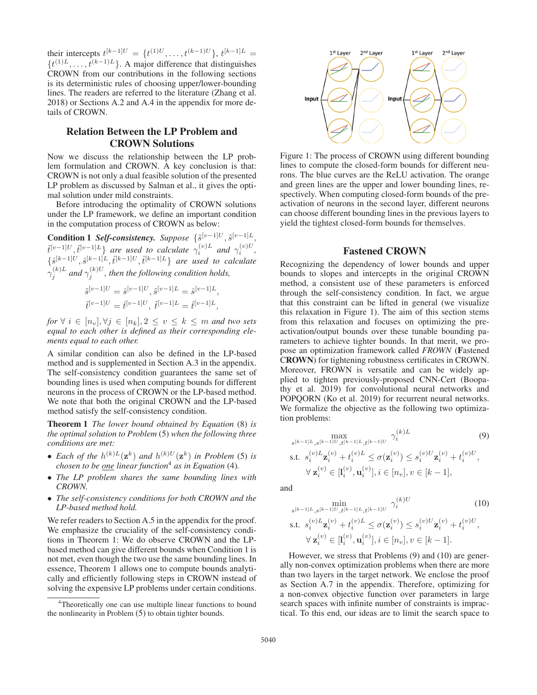their intercepts  $t^{[k-1]U} = \{t^{(1)U}, \ldots, t^{(k-1)U}\}, t^{[k-1]L}$  $\{t^{(1)L}, \ldots, t^{(k-1)L}\}\.$  A major difference that distinguishes CROWN from our contributions in the following sections is its deterministic rules of choosing upper/lower-bounding lines. The readers are referred to the literature (Zhang et al. 2018) or Sections A.2 and A.4 in the appendix for more details of CROWN.

# Relation Between the LP Problem and CROWN Solutions

Now we discuss the relationship between the LP problem formulation and CROWN. A key conclusion is that: CROWN is not only a dual feasible solution of the presented LP problem as discussed by Salman et al., it gives the optimal solution under mild constraints.

Before introducing the optimality of CROWN solutions under the LP framework, we define an important condition in the computation process of CROWN as below:

**Condition 1** *Self-consistency. Suppose*  $\{\tilde{s}^{[v-1]U}, \tilde{s}^{[v-1]L},\}$  $\{\tilde{t}^{[v-1]U}, \tilde{t}^{[v-1]L}\}$  are used to calculate  $\gamma_i^{(v)L}$  and  $\gamma_i^{(v)U}$ ,  $\{\hat{s}^{[k-1]U}, \hat{s}^{[k-1]L}, \hat{t}^{[k-1]U}, \hat{t}^{[k-1]L}\}$  are used to calculate  $\hat{\gamma}_j^{(k)L}$  and  $\gamma_j^{(k)U}$ , then the following condition holds,

$$
\begin{aligned} \hat{s}^{[v-1]U} &= \hat{s}^{[v-1]U}, \tilde{s}^{[v-1]L} = \hat{s}^{[v-1]L}, \\ \hat{t}^{[v-1]U} &= \hat{t}^{[v-1]U}, \ \tilde{t}^{[v-1]L} = \hat{t}^{[v-1]L}, \end{aligned}
$$

*for*  $\forall i \in [n_v], \forall j \in [n_k], 2 \le v \le k \le m$  *and two sets equal to each other is defined as their corresponding elements equal to each other.*

A similar condition can also be defined in the LP-based method and is supplemented in Section A.3 in the appendix. The self-consistency condition guarantees the same set of bounding lines is used when computing bounds for different neurons in the process of CROWN or the LP-based method. We note that both the original CROWN and the LP-based method satisfy the self-consistency condition.

Theorem 1 *The lower bound obtained by Equation* (8) *is the optimal solution to Problem* (5) *when the following three conditions are met:*

- *Each of the*  $h^{(k)L}(\mathbf{z}^k)$  *and*  $h^{(k)U}(\mathbf{z}^k)$  *in Problem* (5) *is chosen to be one linear function*<sup>4</sup> *as in Equation* (4)*.*
- *The LP problem shares the same bounding lines with CROWN.*
- *The self-consistency conditions for both CROWN and the LP-based method hold.*

We refer readers to Section A.5 in the appendix for the proof. We emphasize the cruciality of the self-consistency conditions in Theorem 1: We do observe CROWN and the LPbased method can give different bounds when Condition 1 is not met, even though the two use the same bounding lines. In essence, Theorem 1 allows one to compute bounds analytically and efficiently following steps in CROWN instead of solving the expensive LP problems under certain conditions.



Figure 1: The process of CROWN using different bounding lines to compute the closed-form bounds for different neurons. The blue curves are the ReLU activation. The orange and green lines are the upper and lower bounding lines, respectively. When computing closed-form bounds of the preactivation of neurons in the second layer, different neurons can choose different bounding lines in the previous layers to yield the tightest closed-form bounds for themselves.

#### Fastened CROWN

Recognizing the dependency of lower bounds and upper bounds to slopes and intercepts in the original CROWN method, a consistent use of these parameters is enforced through the self-consistency condition. In fact, we argue that this constraint can be lifted in general (we visualize this relaxation in Figure 1). The aim of this section stems from this relaxation and focuses on optimizing the preactivation/output bounds over these tunable bounding parameters to achieve tighter bounds. In that merit, we propose an optimization framework called *FROWN* (Fastened CROWN) for tightening robustness certificates in CROWN. Moreover, FROWN is versatile and can be widely applied to tighten previously-proposed CNN-Cert (Boopathy et al. 2019) for convolutional neural networks and POPQORN (Ko et al. 2019) for recurrent neural networks. We formalize the objective as the following two optimization problems:

$$
\max_{s^{[k-1]L}, s^{[k-1]U}, t^{[k-1]L}, t^{[k-1]U}} \gamma_i^{(k)L}
$$
\ns.t. 
$$
s_i^{(v)L} \mathbf{z}_i^{(v)} + t_i^{(v)L} \le \sigma(\mathbf{z}_i^{(v)}) \le s_i^{(v)U} \mathbf{z}_i^{(v)} + t_i^{(v)U},
$$
\n
$$
\forall \mathbf{z}_i^{(v)} \in [\mathbf{l}_i^{(v)}, \mathbf{u}_i^{(v)}], i \in [n_v], v \in [k-1],
$$
\n(9)

and

$$
\min_{\substack{s^{[k-1]L}, s^{[k-1]U}, t^{[k-1]L}, t^{[k-1]U}}} \gamma_i^{(k)U} \qquad (10)
$$
\ns.t.

\n
$$
s_i^{(v)L} \mathbf{z}_i^{(v)} + t_i^{(v)L} \leq \sigma(\mathbf{z}_i^{(v)}) \leq s_i^{(v)U} \mathbf{z}_i^{(v)} + t_i^{(v)U},
$$
\n
$$
\forall \mathbf{z}_i^{(v)} \in [\mathbf{l}_i^{(v)}, \mathbf{u}_i^{(v)}], i \in [n_v], v \in [k-1].
$$

However, we stress that Problems (9) and (10) are generally non-convex optimization problems when there are more than two layers in the target network. We enclose the proof as Section A.7 in the appendix. Therefore, optimizing for a non-convex objective function over parameters in large search spaces with infinite number of constraints is impractical. To this end, our ideas are to limit the search space to

<sup>&</sup>lt;sup>4</sup>Theoretically one can use multiple linear functions to bound the nonlinearity in Problem (5) to obtain tighter bounds.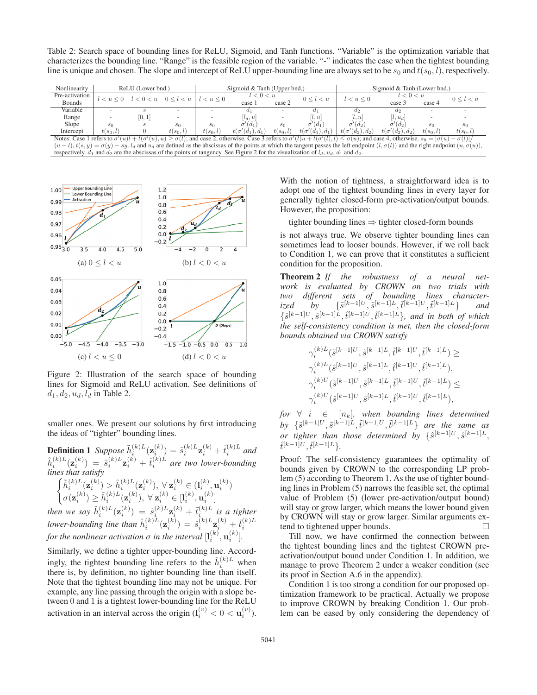Table 2: Search space of bounding lines for ReLU, Sigmoid, and Tanh functions. "Variable" is the optimization variable that characterizes the bounding line. "Range" is the feasible region of the variable. "-" indicates the case when the tightest bounding line is unique and chosen. The slope and intercept of ReLU upper-bounding line are always set to be  $s_0$  and  $t(s_0, l)$ , respectively.

| Nonlinearity                                                                                                                                                                                                               |                                                     | ReLU (Lower bnd.) |             |                | Sigmoid & Tanh (Upper bnd.) |                   |                        | Sigmoid & Tanh (Lower bnd.) |                        |                   |             |  |
|----------------------------------------------------------------------------------------------------------------------------------------------------------------------------------------------------------------------------|-----------------------------------------------------|-------------------|-------------|----------------|-----------------------------|-------------------|------------------------|-----------------------------|------------------------|-------------------|-------------|--|
| Pre-activation                                                                                                                                                                                                             | $l < 0 < u \quad 0 \leq l \leq u$<br>$l < u \leq 0$ |                   |             | $l < u \leq 0$ | l < 0 < u                   | $0 \leq l \leq u$ |                        | $l < u \leq 0$              | < 0 < u                | $0 \leq l \leq u$ |             |  |
| <b>Bounds</b>                                                                                                                                                                                                              |                                                     |                   |             |                | case 1                      | case 2            |                        |                             | case 3                 | case 4            |             |  |
| Variable                                                                                                                                                                                                                   | $\overline{\phantom{0}}$                            |                   |             |                |                             |                   | Œ1                     | $d_{2}$                     | a <sub>2</sub>         |                   |             |  |
| Range                                                                                                                                                                                                                      |                                                     | [0,1]             |             |                | $l_d, u$                    |                   | $\left  l, u \right $  | [l, u]<br>$ l, u_d $        |                        |                   |             |  |
| Slope                                                                                                                                                                                                                      | $s_0$                                               |                   | $s_0$       | $s_0$          | $\sigma'(d_1)$              | s <sub>0</sub>    | $\sigma'(d_1)$         | $(d_2)$<br>$\sigma'$        | $\sigma'(d_2)$         | $s_0$             | $s_0$       |  |
| Intercept                                                                                                                                                                                                                  | $t(s_0, l)$                                         |                   | $t(s_0, l)$ | $t(s_0,l)$     | $t(\sigma'(d_1), d_1)$      | $t(s_0, l)$       | $t(\sigma'(d_1), d_1)$ | $t(\sigma'(d_2), d_2)$      | $t(\sigma'(d_2), d_2)$ | $t(s_0, l)$       | $t(s_0, l)$ |  |
| Notes: Case 1 refers to $\sigma'(u)l + t(\sigma'(u), u) \ge \sigma(l)$ ; and case 2, otherwise. Case 3 refers to $\sigma'(l)u + t(\sigma'(l), l) \le \sigma(u)$ ; and case 4, otherwise. $s_0 =  \sigma(u) - \sigma(l) /2$ |                                                     |                   |             |                |                             |                   |                        |                             |                        |                   |             |  |
| $(u-l)$ , $t(s,y) = \sigma(y) - sy$ . $l_d$ and $u_d$ are defined as the abscissas of the points at which the tangent passes the left endpoint $(l, \sigma(l))$ and the right endpoint $(u, \sigma(u))$ .                  |                                                     |                   |             |                |                             |                   |                        |                             |                        |                   |             |  |
| respectively. $d_1$ and $d_2$ are the abscissas of the points of tangency. See Figure 2 for the visualization of $l_d$ , $u_d$ , $d_1$ and $d_2$ .                                                                         |                                                     |                   |             |                |                             |                   |                        |                             |                        |                   |             |  |



Figure 2: Illustration of the search space of bounding lines for Sigmoid and ReLU activation. See definitions of  $d_1, d_2, u_d, l_d$  in Table 2.

smaller ones. We present our solutions by first introducing the ideas of "tighter" bounding lines.

**Definition 1** Suppose  $\tilde{h}_i^{(k)L}(\mathbf{z}_i^{(k)}) = \tilde{s}_i^{(k)L}\mathbf{z}_i^{(k)} + \tilde{t}_i^{(k)L}$  and  $\hat{h}_i^{(k)L}(\mathbf{z}_i^{(k)}) = \hat{s}_i^{(k)L}\mathbf{z}_i^{(k)} + \hat{t}_i^{(k)L}$  are two lower-bounding *lines that satisfy*

$$
\begin{cases} \tilde{h}_i^{(k)L}(\mathbf{z}_i^{(k)}) > \hat{h}_i^{(k)L}(\mathbf{z}_i^{(k)}), \ \forall \ \mathbf{z}_i^{(k)} \in (l_i^{(k)}, \mathbf{u}_i^{(k)}) \\ \sigma(\mathbf{z}_i^{(k)}) \geq \tilde{h}_i^{(k)L}(\mathbf{z}_i^{(k)}), \ \forall \ \mathbf{z}_i^{(k)} \in [l_i^{(k)}, \mathbf{u}_i^{(k)}] \\ \text{then we say } \tilde{h}_i^{(k)L}(\mathbf{z}_i^{(k)}) = \tilde{s}_i^{(k)L} \mathbf{z}_i^{(k)} + \tilde{t}_i^{(k)L} \text{ is a tighter} \end{cases}
$$

 $lower-bounding$  line than  $\hat{h}_i^{(k)\tilde{L}}(\mathbf{z}_i^{(k)}) = \hat{s}_i^{(k)L}\mathbf{z}_i^{(k)} + \hat{t}_i^{(k)L}$ *for the nonlinear activation*  $\sigma$  *in the interval*  $[\mathbf{l}_i^{(k)}, \mathbf{u}_i^{(k)}]$ .

Similarly, we define a tighter upper-bounding line. Accordingly, the tightest bounding line refers to the  $\hat{h}_i^{(k)L}$  when there is, by definition, no tighter bounding line than itself. Note that the tightest bounding line may not be unique. For example, any line passing through the origin with a slope between 0 and 1 is a tightest lower-bounding line for the ReLU activation in an interval across the origin  $(l_i^{(v)} < 0 < u_i^{(v)}$ ).

With the notion of tightness, a straightforward idea is to adopt one of the tightest bounding lines in every layer for generally tighter closed-form pre-activation/output bounds. However, the proposition:

tighter bounding lines  $\Rightarrow$  tighter closed-form bounds

is not always true. We observe tighter bounding lines can sometimes lead to looser bounds. However, if we roll back to Condition 1, we can prove that it constitutes a sufficient condition for the proposition.

Theorem 2 *If the robustness of a neural network is evaluated by CROWN on two trials with two different sets of bounding lines characterized by*  $\{\tilde{s}^{[k-1]U}, \tilde{s}^{[k-1]L}, \tilde{t}^{[k-1]U}, \tilde{t}^{[k-1]L}\}$  *and*  $\{\hat{s}^{[k-1]U}, \hat{s}^{[k-1]L}, \hat{t}^{[k-1]U}, \hat{t}^{[k-1]L}\}$ , and in both of which *the self-consistency condition is met, then the closed-form bounds obtained via CROWN satisfy*

$$
\begin{aligned} &\gamma_i^{(k)L}(\hat{s}^{[k-1]U},\hat{s}^{[k-1]L},\hat{t}^{[k-1]U},\hat{t}^{[k-1]L})\geq\\ &\gamma_i^{(k)L}(\hat{s}^{[k-1]U},\hat{s}^{[k-1]L},\hat{t}^{[k-1]U},\hat{t}^{[k-1]L}),\\ &\gamma_i^{(k)U}(\hat{s}^{[k-1]U},\hat{s}^{[k-1]L},\hat{t}^{[k-1]U},\hat{t}^{[k-1]L})\leq\\ &\gamma_i^{(k)U}(\hat{s}^{[k-1]U},\hat{s}^{[k-1]L},\hat{t}^{[k-1]U},\hat{t}^{[k-1]L}), \end{aligned}
$$

 $for \; \forall \; i \; \in \; [n_k]$ , when bounding lines determined  $by \{\tilde{s}^{[k-1]U}, \tilde{s}^{[k-1]L}, \tilde{t}^{[k-1]U}, \tilde{t}^{[k-1]L}\}$  are the same as *or tighter than those determined by*  $\{ \hat{s}^{[k-1]U}, \hat{s}^{[k-1]L}, \}$  $\hat{t}^{[k-1]U}, \hat{t}^{[k-1]L}$ .

Proof: The self-consistency guarantees the optimality of bounds given by CROWN to the corresponding LP problem (5) according to Theorem 1. As the use of tighter bounding lines in Problem (5) narrows the feasible set, the optimal value of Problem (5) (lower pre-activation/output bound) will stay or grow larger, which means the lower bound given by CROWN will stay or grow larger. Similar arguments extend to tightened upper bounds.

Till now, we have confirmed the connection between the tightest bounding lines and the tightest CROWN preactivation/output bound under Condition 1. In addition, we manage to prove Theorem 2 under a weaker condition (see its proof in Section A.6 in the appendix).

Condition 1 is too strong a condition for our proposed optimization framework to be practical. Actually we propose to improve CROWN by breaking Condition 1. Our problem can be eased by only considering the dependency of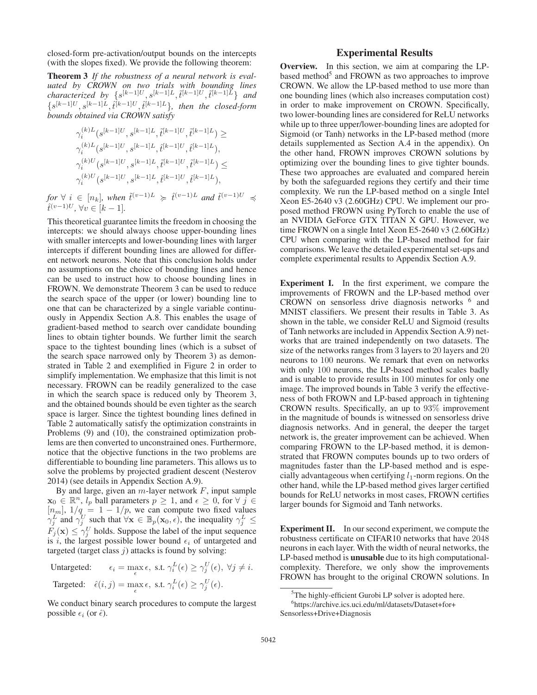closed-form pre-activation/output bounds on the intercepts (with the slopes fixed). We provide the following theorem:

Theorem 3 *If the robustness of a neural network is evaluated by CROWN on two trials with bounding lines*  $characterized$  by  $\{s^{[k-1]U}, s^{[k-1]L}, \tilde{t}^{[k-1]U}, \tilde{t}^{[k-1]L}\}$  and  ${s^{[k-1]U},s^{[k-1]L},\hat{t}^{[k-1]U},\hat{t}^{[k-1]L}\}$ , then the closed-form *bounds obtained via CROWN satisfy*

γ(k)<sup>L</sup> <sup>i</sup> (s[k−1]<sup>U</sup> , s[k−1]L,t ˜[k−1]<sup>U</sup> ,t ˜[k−1]L) ≥ γ(k)<sup>L</sup> <sup>i</sup> (s[k−1]<sup>U</sup> , s[k−1]L,t ˆ[k−1]<sup>U</sup> ,t ˆ[k−1]L), γ(k)<sup>U</sup> <sup>i</sup> (s[k−1]<sup>U</sup> , s[k−1]L,t ˜[k−1]<sup>U</sup> ,t ˜[k−1]L) ≤ γ(k)<sup>U</sup> <sup>i</sup> (s[k−1]<sup>U</sup> , s[k−1]L,t ˆ[k−1]<sup>U</sup> ,t ˆ[k−1]L),

 $f \circ \forall i \in [n_k]$ , when  $\tilde{t}^{(v-1)L} \geq \tilde{t}^{(v-1)L}$  and  $\tilde{t}^{(v-1)U} \preccurlyeq \tilde{t}^{(v-1)U}$ ,  $\forall v \in [k-1]$ .

This theoretical guarantee limits the freedom in choosing the intercepts: we should always choose upper-bounding lines with smaller intercepts and lower-bounding lines with larger intercepts if different bounding lines are allowed for different network neurons. Note that this conclusion holds under no assumptions on the choice of bounding lines and hence can be used to instruct how to choose bounding lines in FROWN. We demonstrate Theorem 3 can be used to reduce the search space of the upper (or lower) bounding line to one that can be characterized by a single variable continuously in Appendix Section A.8. This enables the usage of gradient-based method to search over candidate bounding lines to obtain tighter bounds. We further limit the search space to the tightest bounding lines (which is a subset of the search space narrowed only by Theorem 3) as demonstrated in Table 2 and exemplified in Figure 2 in order to simplify implementation. We emphasize that this limit is not necessary. FROWN can be readily generalized to the case in which the search space is reduced only by Theorem 3, and the obtained bounds should be even tighter as the search space is larger. Since the tightest bounding lines defined in Table 2 automatically satisfy the optimization constraints in Problems (9) and (10), the constrained optimization problems are then converted to unconstrained ones. Furthermore, notice that the objective functions in the two problems are differentiable to bounding line parameters. This allows us to solve the problems by projected gradient descent (Nesterov 2014) (see details in Appendix Section A.9).

By and large, given an  $m$ -layer network  $F$ , input sample  $\mathbf{x}_0 \in \mathbb{R}^n$ ,  $l_p$  ball parameters  $p \geq 1$ , and  $\epsilon \geq 0$ , for  $\forall j \in \mathbb{R}$  $[n_m]$ ,  $1/q = 1 - 1/p$ , we can compute two fixed values  $\gamma_i^L$  and  $\gamma_i^U$  such that  $\forall$ **x**  $\in \mathbb{B}_p(\mathbf{x}_0, \epsilon)$ , the inequality  $\gamma_i^L \leq$  $F_j(\mathbf{x}) \leq \gamma_i^U$  holds. Suppose the label of the input sequence is i, the largest possible lower bound  $\epsilon_i$  of untargeted and targeted (target class  $j$ ) attacks is found by solving:

Untargeted:  $\epsilon_i = \max_{\epsilon} \epsilon$ , s.t.  $\gamma_i^L(\epsilon) \geq \gamma_j^U(\epsilon)$ ,  $\forall j \neq i$ . Targeted:  $\hat{\epsilon}(i,j) = \max_{\epsilon} \epsilon$ , s.t.  $\gamma_i^L(\epsilon) \geq \gamma_j^U(\epsilon)$ .

We conduct binary search procedures to compute the largest possible  $\epsilon_i$  (or  $\hat{\epsilon}$ ).

### Experimental Results

Overview. In this section, we aim at comparing the LPbased method<sup>5</sup> and FROWN as two approaches to improve CROWN. We allow the LP-based method to use more than one bounding lines (which also increases computation cost) in order to make improvement on CROWN. Specifically, two lower-bounding lines are considered for ReLU networks while up to three upper/lower-bounding lines are adopted for Sigmoid (or Tanh) networks in the LP-based method (more details supplemented as Section A.4 in the appendix). On the other hand, FROWN improves CROWN solutions by optimizing over the bounding lines to give tighter bounds. These two approaches are evaluated and compared herein by both the safeguarded regions they certify and their time complexity. We run the LP-based method on a single Intel Xeon E5-2640 v3 (2.60GHz) CPU. We implement our proposed method FROWN using PyTorch to enable the use of an NVIDIA GeForce GTX TITAN X GPU. However, we time FROWN on a single Intel Xeon E5-2640 v3 (2.60GHz) CPU when comparing with the LP-based method for fair comparisons. We leave the detailed experimental set-ups and complete experimental results to Appendix Section A.9.

Experiment I. In the first experiment, we compare the improvements of FROWN and the LP-based method over CROWN on sensorless drive diagnosis networks <sup>6</sup> and MNIST classifiers. We present their results in Table 3. As shown in the table, we consider ReLU and Sigmoid (results of Tanh networks are included in Appendix Section A.9) networks that are trained independently on two datasets. The size of the networks ranges from 3 layers to 20 layers and 20 neurons to 100 neurons. We remark that even on networks with only 100 neurons, the LP-based method scales badly and is unable to provide results in 100 minutes for only one image. The improved bounds in Table 3 verify the effectiveness of both FROWN and LP-based approach in tightening CROWN results. Specifically, an up to 93% improvement in the magnitude of bounds is witnessed on sensorless drive diagnosis networks. And in general, the deeper the target network is, the greater improvement can be achieved. When comparing FROWN to the LP-based method, it is demonstrated that FROWN computes bounds up to two orders of magnitudes faster than the LP-based method and is especially advantageous when certifying  $l_1$ -norm regions. On the other hand, while the LP-based method gives larger certified bounds for ReLU networks in most cases, FROWN certifies larger bounds for Sigmoid and Tanh networks.

Experiment II. In our second experiment, we compute the robustness certificate on CIFAR10 networks that have 2048 neurons in each layer. With the width of neural networks, the LP-based method is unusable due to its high computationalcomplexity. Therefore, we only show the improvements FROWN has brought to the original CROWN solutions. In

<sup>&</sup>lt;sup>5</sup>The highly-efficient Gurobi LP solver is adopted here.

<sup>6</sup> https://archive.ics.uci.edu/ml/datasets/Dataset+for+ Sensorless+Drive+Diagnosis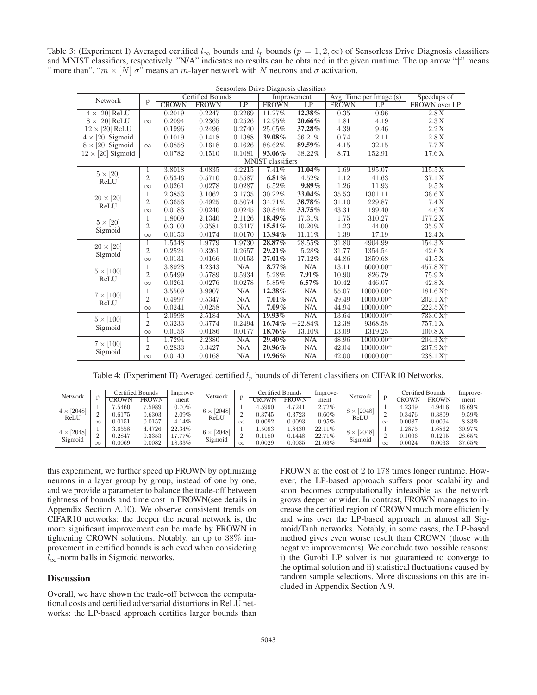Table 3: (Experiment I) Averaged certified  $l_{\infty}$  bounds and  $l_p$  bounds  $(p = 1, 2, \infty)$  of Sensorless Drive Diagnosis classifiers and MNIST classifiers, respectively. "N/A" indicates no results can be obtained in the given runtime. The up arrow "↑" means " more than". " $m \times [N] \sigma$ " means an m-layer network with N neurons and  $\sigma$  activation.

| Sensorless Drive Diagnosis classifiers |                |                         |              |        |              |                 |              |                         |                                          |  |  |  |
|----------------------------------------|----------------|-------------------------|--------------|--------|--------------|-----------------|--------------|-------------------------|------------------------------------------|--|--|--|
| Network                                | p              | <b>Certified Bounds</b> |              |        | Improvement  |                 |              | Avg. Time per Image (s) | Speedups of                              |  |  |  |
|                                        |                | <b>CROWN</b>            | <b>FROWN</b> | LP     | <b>FROWN</b> | $\overline{LP}$ | <b>FROWN</b> | $\overline{LP}$         | FROWN over LP                            |  |  |  |
| $4 \times 20$ ReLU                     |                | 0.2019                  | 0.2247       | 0.2269 | 11.27%       | 12.38%          | 0.35         | 0.96                    | 2.8X                                     |  |  |  |
| $8 \times [20]$ ReLU                   | $\infty$       | 0.2094                  | 0.2365       | 0.2526 | 12.95%       | 20.66%          | 1.81         | 4.19                    | 2.3 X                                    |  |  |  |
| $12 \times [20]$ ReLU                  |                | 0.1996                  | 0.2496       | 0.2740 | 25.05%       | 37.28%          | 4.39         | 9.46                    | 2.2 X                                    |  |  |  |
| $[20]$ Sigmoid<br>$4 \times$           |                | 0.1019                  | 0.1418       | 0.1388 | 39.08%       | 36.21%          | 0.74         | 2.11                    | 2.8X                                     |  |  |  |
| $8 \times [20]$ Sigmoid                | $\infty$       | 0.0858                  | 0.1618       | 0.1626 | 88.62%       | 89.59%          | 4.15         | 32.15                   | 7.7X                                     |  |  |  |
| $12 \times [20]$ Sigmoid               |                | 0.0782                  | 0.1510       | 0.1081 | 93.06%       | 38.22%          | 8.71         | 152.91                  | 17.6 X                                   |  |  |  |
| <b>MNIST</b> classifiers               |                |                         |              |        |              |                 |              |                         |                                          |  |  |  |
| $5 \times [20]$                        | 1              | 3.8018                  | 4.0835       | 4.2215 | 7.41%        | $11.04\%$       | 1.69         | 195.07                  | 115.5X                                   |  |  |  |
| ReLU                                   | $\overline{2}$ | 0.5346                  | 0.5710       | 0.5587 | 6.81%        | 4.52%           | 1.12         | 41.63                   | 37.1 X                                   |  |  |  |
|                                        | $\infty$       | 0.0261                  | 0.0278       | 0.0287 | 6.52%        | $9.89\%$        | 1.26         | 11.93                   | 9.5 X                                    |  |  |  |
| $20 \times [20]$                       | 1              | 2.3853                  | 3.1062       | 3.1735 | 30.22%       | 33.04%          | 35.53        | 1301.11                 | 36.6X                                    |  |  |  |
| ReLU                                   | $\sqrt{2}$     | 0.3656                  | 0.4925       | 0.5074 | 34.71%       | 38.78%          | 31.10        | 229.87                  | 7.4X                                     |  |  |  |
|                                        | $\infty$       | 0.0183                  | 0.0240       | 0.0245 | 30.84%       | 33.75%          | 43.31        | 199.40                  | 4.6 X                                    |  |  |  |
| $5 \times [20]$                        | 1              | 1.8009                  | 2.1340       | 2.1126 | 18.49%       | 17.31%          | 1.75         | 310.27                  | 177.2 X                                  |  |  |  |
| Sigmoid                                | $\overline{2}$ | 0.3100                  | 0.3581       | 0.3417 | 15.51%       | 10.20%          | 1.23         | 44.00                   | 35.9 X                                   |  |  |  |
|                                        | $\infty$       | 0.0153                  | 0.0174       | 0.0170 | 13.94%       | 11.11%          | 1.39         | 17.19                   | 12.4 X                                   |  |  |  |
| $20 \times [20]$                       | 1              | 1.5348                  | 1.9779       | 1.9730 | 28.87%       | 28.55%          | 31.80        | 4904.99                 | 154.3 X                                  |  |  |  |
| Sigmoid                                | $\overline{2}$ | 0.2524                  | 0.3261       | 0.2657 | 29.21%       | 5.28%           | 31.77        | 1354.54                 | 42.6 X                                   |  |  |  |
|                                        | $\infty$       | 0.0131                  | 0.0166       | 0.0153 | 27.01%       | 17.12%          | 44.86        | 1859.68                 | 41.5 X                                   |  |  |  |
| $5 \times [100]$                       | 1              | 3.8928                  | 4.2343       | N/A    | $8.77\%$     | N/A             | 13.11        | 6000.001                | 457.8X <sup>1</sup>                      |  |  |  |
| ReLU                                   | $\overline{2}$ | 0.5499                  | 0.5789       | 0.5934 | 5.28%        | 7.91%           | 10.90        | 826.79                  | 75.9 X                                   |  |  |  |
|                                        | $\infty$       | 0.0261                  | 0.0276       | 0.0278 | 5.85%        | $6.57\%$        | 10.42        | 446.07                  | 42.8 X                                   |  |  |  |
|                                        | 1              | 3.5509                  | 3.9907       | N/A    | 12.38%       | N/A             | 55.07        | 10000.001               | 181.6X <sup>1</sup>                      |  |  |  |
| $7 \times [100]$<br>ReLU               | $\overline{2}$ | 0.4997                  | 0.5347       | N/A    | $7.01\%$     | N/A             | 49.49        | 10000.001               | 202.1 X <sup><math>\uparrow</math></sup> |  |  |  |
|                                        | $\infty$       | 0.0241                  | 0.0258       | N/A    | $7.09\%$     | N/A             | 44.94        | 10000.001               | 222.5 X <sup>+</sup>                     |  |  |  |
| $5 \times [100]$                       | 1              | 2.0998                  | 2.5184       | N/A    | 19.93%       | N/A             | 13.64        | 10000.001               | $733.0 X+$                               |  |  |  |
|                                        | $\overline{2}$ | 0.3233                  | 0.3774       | 0.2494 | 16.74%       | $-22.84%$       | 12.38        | 9368.58                 | 757.1 X                                  |  |  |  |
| Sigmoid                                | $\infty$       | 0.0156                  | 0.0186       | 0.0177 | 18.76%       | 13.10%          | 13.09        | 1319.25                 | 100.8X                                   |  |  |  |
| $7 \times [100]$<br>Sigmoid            | 1              | 1.7294                  | 2.2380       | N/A    | 29.40%       | N/A             | 48.96        | 10000.001               | $204.3 X+$                               |  |  |  |
|                                        | $\overline{2}$ | 0.2833                  | 0.3427       | N/A    | 20.96%       | N/A             | 42.04        | 10000.001               | 237.9 X <sup>+</sup>                     |  |  |  |
|                                        | $\infty$       | 0.0140                  | 0.0168       | N/A    | 19.96%       | N/A             | 42.00        | 10000.001               | 238.1 X <sup><math>\uparrow</math></sup> |  |  |  |

Table 4: (Experiment II) Averaged certified  $l_p$  bounds of different classifiers on CIFAR10 Networks.

| Network           |          | Certified Bounds |              | Improve- | Network                   |          | <b>Certified Bounds</b> |              | Improve-  | Network                 |          | Certified Bounds |              | Improve-  |
|-------------------|----------|------------------|--------------|----------|---------------------------|----------|-------------------------|--------------|-----------|-------------------------|----------|------------------|--------------|-----------|
|                   |          | ™ROWN            | <b>FROWN</b> | ment     |                           | D        | <b>ROWN</b>             | <b>FROWN</b> | ment      |                         |          | <b>CROWN</b>     | <b>FROWN</b> | ment      |
| $4 \times [2048]$ |          | .5460            | 7.5989       | $0.70\%$ | $6 \times [2048]$<br>ReLU |          | 4.5990                  | 4.7241       | 2.72%     | $8 \times 2048$<br>ReLU |          | 4.2349           | 4.9416       | $16.69\%$ |
|                   |          | J.6175           | 0.6303       | 2.09%    |                           |          | 0.3745                  | 0.3723       | $-0.60\%$ |                         |          | 0.3476           | 0.3809       | 9.59%     |
| ReLU              | $\infty$ | 0.0151           | 0.0157       | 4.14%    |                           | $\infty$ | 0.0092                  | 0.0093       | 0.95%     |                         | $\infty$ | 0.0087           | 0.0094       | 8.83%     |
| $4 \times [2048]$ |          | 3.6558           | 4.4726       | 22.34%   | $6 \times [2048]$         |          | .5093                   | .8430        | 22.11%    | $8 \times 2048$         |          | .2875            | .6862        | 30.97%    |
|                   |          | 1.2847           | 0.3353       | 7.77%    |                           |          | 0.1180                  | 0.1448       | 22.71%    |                         |          | 0.1006           | 0.1295       | 28.65%    |
| Sigmoid           | $\infty$ | J.0069           | 0.0082       | 18.33%   | Sigmoid                   | $\infty$ | 0.0029                  | 0.0035       | $21.03\%$ | Sigmoid                 | $\infty$ | 0.0024           | 0.0033       | 37.65%    |

this experiment, we further speed up FROWN by optimizing neurons in a layer group by group, instead of one by one, and we provide a parameter to balance the trade-off between tightness of bounds and time cost in FROWN(see details in Appendix Section A.10). We observe consistent trends on CIFAR10 networks: the deeper the neural network is, the more significant improvement can be made by FROWN in tightening CROWN solutions. Notably, an up to 38% improvement in certified bounds is achieved when considering  $l_{\infty}$ -norm balls in Sigmoid networks.

### **Discussion**

Overall, we have shown the trade-off between the computational costs and certified adversarial distortions in ReLU networks: the LP-based approach certifies larger bounds than FROWN at the cost of 2 to 178 times longer runtime. However, the LP-based approach suffers poor scalability and soon becomes computationally infeasible as the network grows deeper or wider. In contrast, FROWN manages to increase the certified region of CROWN much more efficiently and wins over the LP-based approach in almost all Sigmoid/Tanh networks. Notably, in some cases, the LP-based method gives even worse result than CROWN (those with negative improvements). We conclude two possible reasons: i) the Gurobi LP solver is not guaranteed to converge to the optimal solution and ii) statistical fluctuations caused by random sample selections. More discussions on this are included in Appendix Section A.9.